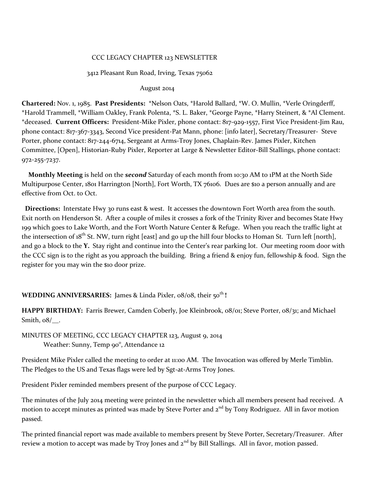#### CCC LEGACY CHAPTER 123 NEWSLETTER

#### 3412 Pleasant Run Road, Irving, Texas 75062

#### August 2014

**Chartered:** Nov. 1, 1985. **Past Presidents:** \*Nelson Oats, \*Harold Ballard, \*W. O. Mullin, \*Verle Oringderff, \*Harold Trammell, \*William Oakley, Frank Polenta, \*S. L. Baker, \*George Payne, \*Harry Steinert, & \*Al Clement. \*deceased. **Current Officers:** President-Mike Pixler, phone contact: 817-929-1557, First Vice President-Jim Rau, phone contact: 817-367-3343, Second Vice president-Pat Mann, phone: [info later], Secretary/Treasurer- Steve Porter, phone contact: 817-244-6714, Sergeant at Arms-Troy Jones, Chaplain-Rev. James Pixler, Kitchen Committee, [Open], Historian-Ruby Pixler, Reporter at Large & Newsletter Editor-Bill Stallings, phone contact: 972-255-7237.

 **Monthly Meeting** is held on the *second* Saturday of each month from 10:30 AM to 1PM at the North Side Multipurpose Center, 1801 Harrington [North], Fort Worth, TX 76106. Dues are \$10 a person annually and are effective from Oct. to Oct.

 **Directions:** Interstate Hwy 30 runs east & west. It accesses the downtown Fort Worth area from the south. Exit north on Henderson St. After a couple of miles it crosses a fork of the Trinity River and becomes State Hwy 199 which goes to Lake Worth, and the Fort Worth Nature Center & Refuge. When you reach the traffic light at the intersection of  $18^{th}$  St. NW, turn right [east] and go up the hill four blocks to Homan St. Turn left [north], and go a block to the **Y.** Stay right and continue into the Center's rear parking lot. Our meeting room door with the CCC sign is to the right as you approach the building. Bring a friend & enjoy fun, fellowship & food. Sign the register for you may win the \$10 door prize.

#### **WEDDING ANNIVERSARIES:** James & Linda Pixler,  $\sigma$ 8/ $\sigma$ 8, their 50<sup>th</sup> !

**HAPPY BIRTHDAY:** Farris Brewer, Camden Coberly, Joe Kleinbrook, 08/01; Steve Porter, 08/31; and Michael Smith, 08/\_\_.

MINUTES OF MEETING, CCC LEGACY CHAPTER 123, August 9, 2014 Weather: Sunny, Temp 90°, Attendance 12

President Mike Pixler called the meeting to order at 11:00 AM. The Invocation was offered by Merle Timblin. The Pledges to the US and Texas flags were led by Sgt-at-Arms Troy Jones.

President Pixler reminded members present of the purpose of CCC Legacy.

The minutes of the July 2014 meeting were printed in the newsletter which all members present had received. A motion to accept minutes as printed was made by Steve Porter and  $2^{nd}$  by Tony Rodriguez. All in favor motion passed.

The printed financial report was made available to members present by Steve Porter, Secretary/Treasurer. After review a motion to accept was made by Troy Jones and  $2<sup>nd</sup>$  by Bill Stallings. All in favor, motion passed.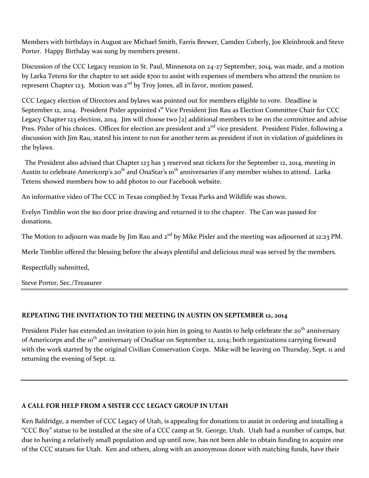Members with birthdays in August are Michael Smith, Farris Brewer, Camden Coberly, Joe Kleinbrook and Steve Porter. Happy Birthday was sung by members present.

Discussion of the CCC Legacy reunion in St. Paul, Minnesota on 24-27 September, 2014, was made, and a motion by Larka Tetens for the chapter to set aside \$700 to assist with expenses of members who attend the reunion to represent Chapter 123. Motion was  $2^{nd}$  by Troy Jones, all in favor, motion passed.

CCC Legacy election of Directors and bylaws was pointed out for members eligible to vote. Deadline is September 12, 2014. President Pixler appointed 1<sup>st</sup> Vice President Jim Rau as Election Committee Chair for CCC Legacy Chapter 123 election, 2014. Jim will choose two [2] additional members to be on the committee and advise Pres. Pixler of his choices. Offices for election are president and  $2^{nd}$  vice president. President Pixler, following a discussion with Jim Rau, stated his intent to run for another term as president if not in violation of guidelines in the bylaws.

The President also advised that Chapter 123 has 3 reserved seat tickets for the September 12, 2014, meeting in Austin to celebrate Americorp's 20<sup>th</sup> and OnaStar's 10<sup>th</sup> anniversaries if any member wishes to attend. Larka Tetens showed members how to add photos to our Facebook website.

An informative video of The CCC in Texas complied by Texas Parks and Wildlife was shown.

Evelyn Timblin won the \$10 door prize drawing and returned it to the chapter. The Can was passed for donations.

The Motion to adjourn was made by Jim Rau and 2<sup>nd</sup> by Mike Pixler and the meeting was adjourned at 12:23 PM.

Merle Timblin offered the blessing before the always plentiful and delicious meal was served by the members.

Respectfully submitted,

Steve Porter, Sec./Treasurer

## **REPEATING THE INVITATION TO THE MEETING IN AUSTIN ON SEPTEMBER 12, 2014**

President Pixler has extended an invitation to join him in going to Austin to help celebrate the 20<sup>th</sup> anniversary of Americorps and the 10<sup>th</sup> anniversary of OnaStar on September 12, 2014; both organizations carrying forward with the work started by the original Civilian Conservation Corps. Mike will be leaving on Thursday, Sept. 11 and returning the evening of Sept. 12.

## **A CALL FOR HELP FROM A SISTER CCC LEGACY GROUP IN UTAH**

Ken Baldridge, a member of CCC Legacy of Utah, is appealing for donations to assist in ordering and installing a "CCC Boy" statue to be installed at the site of a CCC camp at St. George, Utah. Utah had a number of camps, but due to having a relatively small population and up until now, has not been able to obtain funding to acquire one of the CCC statues for Utah. Ken and others, along with an anonymous donor with matching funds, have their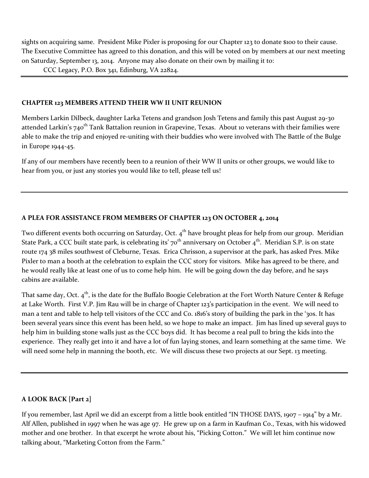sights on acquiring same. President Mike Pixler is proposing for our Chapter 123 to donate \$100 to their cause. The Executive Committee has agreed to this donation, and this will be voted on by members at our next meeting on Saturday, September 13, 2014. Anyone may also donate on their own by mailing it to:

CCC Legacy, P.O. Box 341, Edinburg, VA 22824.

## **CHAPTER 123 MEMBERS ATTEND THEIR WW II UNIT REUNION**

Members Larkin Dilbeck, daughter Larka Tetens and grandson Josh Tetens and family this past August 29-30 attended Larkin's 740<sup>th</sup> Tank Battalion reunion in Grapevine, Texas. About 10 veterans with their families were able to make the trip and enjoyed re-uniting with their buddies who were involved with The Battle of the Bulge in Europe 1944-45.

If any of our members have recently been to a reunion of their WW II units or other groups, we would like to hear from you, or just any stories you would like to tell, please tell us!

# **A PLEA FOR ASSISTANCE FROM MEMBERS OF CHAPTER 123 ON OCTOBER 4, 2014**

Two different events both occurring on Saturday, Oct. 4<sup>th</sup> have brought pleas for help from our group. Meridian State Park, a CCC built state park, is celebrating its'  $70^{th}$  anniversary on October  $4^{th}$ . Meridian S.P. is on state route 174 38 miles southwest of Cleburne, Texas. Erica Chrisson, a supervisor at the park, has asked Pres. Mike Pixler to man a booth at the celebration to explain the CCC story for visitors. Mike has agreed to be there, and he would really like at least one of us to come help him. He will be going down the day before, and he says cabins are available.

That same day, Oct. 4<sup>th</sup>, is the date for the Buffalo Boogie Celebration at the Fort Worth Nature Center & Refuge at Lake Worth. First V.P. Jim Rau will be in charge of Chapter 123's participation in the event. We will need to man a tent and table to help tell visitors of the CCC and Co. 1816's story of building the park in the '30s. It has been several years since this event has been held, so we hope to make an impact. Jim has lined up several guys to help him in building stone walls just as the CCC boys did. It has become a real pull to bring the kids into the experience. They really get into it and have a lot of fun laying stones, and learn something at the same time. We will need some help in manning the booth, etc. We will discuss these two projects at our Sept. 13 meeting.

## **A LOOK BACK [Part 2]**

If you remember, last April we did an excerpt from a little book entitled "IN THOSE DAYS, 1907 – 1914" by a Mr. Alf Allen, published in 1997 when he was age 97. He grew up on a farm in Kaufman Co., Texas, with his widowed mother and one brother. In that excerpt he wrote about his, "Picking Cotton." We will let him continue now talking about, "Marketing Cotton from the Farm."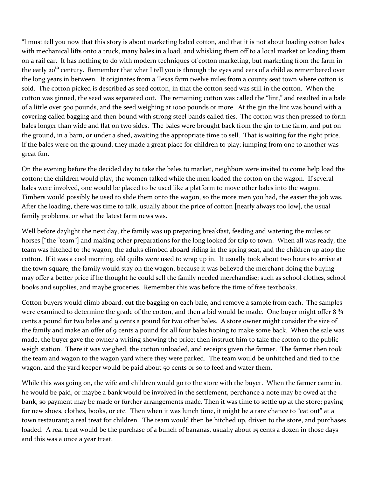"I must tell you now that this story is about marketing baled cotton, and that it is not about loading cotton bales with mechanical lifts onto a truck, many bales in a load, and whisking them off to a local market or loading them on a rail car. It has nothing to do with modern techniques of cotton marketing, but marketing from the farm in the early 20<sup>th</sup> century. Remember that what I tell you is through the eyes and ears of a child as remembered over the long years in between. It originates from a Texas farm twelve miles from a county seat town where cotton is sold. The cotton picked is described as seed cotton, in that the cotton seed was still in the cotton. When the cotton was ginned, the seed was separated out. The remaining cotton was called the "lint," and resulted in a bale of a little over 500 pounds, and the seed weighing at 1000 pounds or more. At the gin the lint was bound with a covering called bagging and then bound with strong steel bands called ties. The cotton was then pressed to form bales longer than wide and flat on two sides. The bales were brought back from the gin to the farm, and put on the ground, in a barn, or under a shed, awaiting the appropriate time to sell. That is waiting for the right price. If the bales were on the ground, they made a great place for children to play; jumping from one to another was great fun.

On the evening before the decided day to take the bales to market, neighbors were invited to come help load the cotton; the children would play, the women talked while the men loaded the cotton on the wagon. If several bales were involved, one would be placed to be used like a platform to move other bales into the wagon. Timbers would possibly be used to slide them onto the wagon, so the more men you had, the easier the job was. After the loading, there was time to talk, usually about the price of cotton [nearly always too low], the usual family problems, or what the latest farm news was.

Well before daylight the next day, the family was up preparing breakfast, feeding and watering the mules or horses ["the "team"] and making other preparations for the long looked for trip to town. When all was ready, the team was hitched to the wagon, the adults climbed aboard riding in the spring seat, and the children up atop the cotton. If it was a cool morning, old quilts were used to wrap up in. It usually took about two hours to arrive at the town square, the family would stay on the wagon, because it was believed the merchant doing the buying may offer a better price if he thought he could sell the family needed merchandise; such as school clothes, school books and supplies, and maybe groceries. Remember this was before the time of free textbooks.

Cotton buyers would climb aboard, cut the bagging on each bale, and remove a sample from each. The samples were examined to determine the grade of the cotton, and then a bid would be made. One buyer might offer 8  $\frac{3}{4}$ cents a pound for two bales and 9 cents a pound for two other bales. A store owner might consider the size of the family and make an offer of 9 cents a pound for all four bales hoping to make some back. When the sale was made, the buyer gave the owner a writing showing the price; then instruct him to take the cotton to the public weigh station. There it was weighed, the cotton unloaded, and receipts given the farmer. The farmer then took the team and wagon to the wagon yard where they were parked. The team would be unhitched and tied to the wagon, and the yard keeper would be paid about 50 cents or so to feed and water them.

While this was going on, the wife and children would go to the store with the buyer. When the farmer came in, he would be paid, or maybe a bank would be involved in the settlement, perchance a note may be owed at the bank, so payment may be made or further arrangements made. Then it was time to settle up at the store; paying for new shoes, clothes, books, or etc. Then when it was lunch time, it might be a rare chance to "eat out" at a town restaurant; a real treat for children. The team would then be hitched up, driven to the store, and purchases loaded. A real treat would be the purchase of a bunch of bananas, usually about 15 cents a dozen in those days and this was a once a year treat.